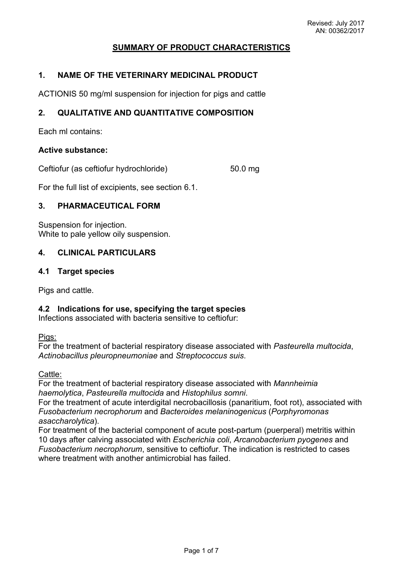# **SUMMARY OF PRODUCT CHARACTERISTICS**

#### **1. NAME OF THE VETERINARY MEDICINAL PRODUCT**

ACTIONIS 50 mg/ml suspension for injection for pigs and cattle

#### **2. QUALITATIVE AND QUANTITATIVE COMPOSITION**

Each ml contains:

#### **Active substance:**

Ceftiofur (as ceftiofur hydrochloride) 50.0 mg

For the full list of excipients, see section 6.1.

## **3. PHARMACEUTICAL FORM**

Suspension for injection. White to pale yellow oily suspension.

### **4. CLINICAL PARTICULARS**

#### **4.1 Target species**

Pigs and cattle.

#### **4.2 Indications for use, specifying the target species**

Infections associated with bacteria sensitive to ceftiofur:

Pigs:

For the treatment of bacterial respiratory disease associated with *Pasteurella multocida*, *Actinobacillus pleuropneumoniae* and *Streptococcus suis*.

Cattle:

For the treatment of bacterial respiratory disease associated with *Mannheimia haemolytica*, *Pasteurella multocida* and *Histophilus somni*.

For the treatment of acute interdigital necrobacillosis (panaritium, foot rot), associated with *Fusobacterium necrophorum* and *Bacteroides melaninogenicus* (*Porphyromonas asaccharolytica*).

For treatment of the bacterial component of acute post-partum (puerperal) metritis within 10 days after calving associated with *Escherichia coli*, *Arcanobacterium pyogenes* and *Fusobacterium necrophorum*, sensitive to ceftiofur*.* The indication is restricted to cases where treatment with another antimicrobial has failed.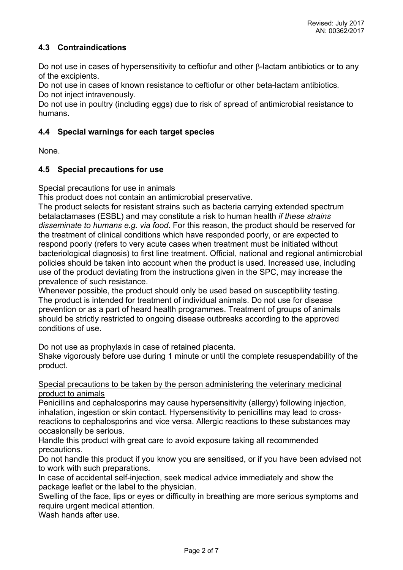# **4.3 Contraindications**

Do not use in cases of hypersensitivity to ceftiofur and other  $\beta$ -lactam antibiotics or to any of the excipients.

Do not use in cases of known resistance to ceftiofur or other beta-lactam antibiotics*.* Do not inject intravenously.

Do not use in poultry (including eggs) due to risk of spread of antimicrobial resistance to humans.

## **4.4 Special warnings for each target species**

None.

## **4.5 Special precautions for use**

Special precautions for use in animals

This product does not contain an antimicrobial preservative.

The product selects for resistant strains such as bacteria carrying extended spectrum betalactamases (ESBL) and may constitute a risk to human health *if these strains disseminate to humans e.g. via food*. For this reason, the product should be reserved for the treatment of clinical conditions which have responded poorly, or are expected to respond poorly (refers to very acute cases when treatment must be initiated without bacteriological diagnosis) to first line treatment. Official, national and regional antimicrobial policies should be taken into account when the product is used. Increased use, including use of the product deviating from the instructions given in the SPC, may increase the prevalence of such resistance.

Whenever possible, the product should only be used based on susceptibility testing. The product is intended for treatment of individual animals. Do not use for disease prevention or as a part of heard health programmes. Treatment of groups of animals should be strictly restricted to ongoing disease outbreaks according to the approved conditions of use.

Do not use as prophylaxis in case of retained placenta.

Shake vigorously before use during 1 minute or until the complete resuspendability of the product.

Special precautions to be taken by the person administering the veterinary medicinal product to animals

Penicillins and cephalosporins may cause hypersensitivity (allergy) following injection, inhalation, ingestion or skin contact. Hypersensitivity to penicillins may lead to crossreactions to cephalosporins and vice versa. Allergic reactions to these substances may occasionally be serious.

Handle this product with great care to avoid exposure taking all recommended precautions.

Do not handle this product if you know you are sensitised, or if you have been advised not to work with such preparations.

In case of accidental self-injection, seek medical advice immediately and show the package leaflet or the label to the physician.

Swelling of the face, lips or eyes or difficulty in breathing are more serious symptoms and require urgent medical attention.

Wash hands after use.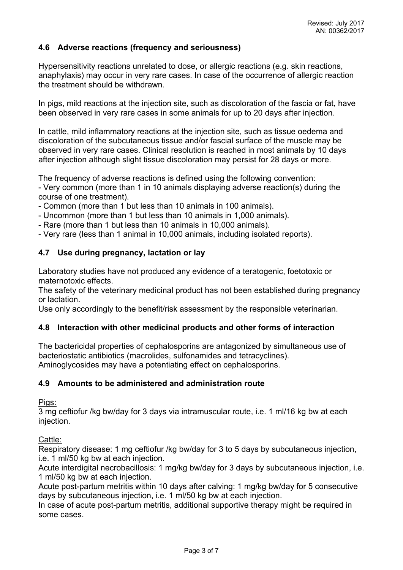## **4.6 Adverse reactions (frequency and seriousness)**

Hypersensitivity reactions unrelated to dose, or allergic reactions (e.g. skin reactions, anaphylaxis) may occur in very rare cases. In case of the occurrence of allergic reaction the treatment should be withdrawn.

In pigs, mild reactions at the injection site, such as discoloration of the fascia or fat, have been observed in very rare cases in some animals for up to 20 days after injection.

In cattle, mild inflammatory reactions at the injection site, such as tissue oedema and discoloration of the subcutaneous tissue and/or fascial surface of the muscle may be observed in very rare cases. Clinical resolution is reached in most animals by 10 days after injection although slight tissue discoloration may persist for 28 days or more.

The frequency of adverse reactions is defined using the following convention: - Very common (more than 1 in 10 animals displaying adverse reaction(s) during the course of one treatment).

- Common (more than 1 but less than 10 animals in 100 animals).

- Uncommon (more than 1 but less than 10 animals in 1,000 animals).

- Rare (more than 1 but less than 10 animals in 10,000 animals).

- Very rare (less than 1 animal in 10,000 animals, including isolated reports).

### **4.7 Use during pregnancy, lactation or lay**

Laboratory studies have not produced any evidence of a teratogenic, foetotoxic or maternotoxic effects.

The safety of the veterinary medicinal product has not been established during pregnancy or lactation.

Use only accordingly to the benefit/risk assessment by the responsible veterinarian.

### **4.8 Interaction with other medicinal products and other forms of interaction**

The bactericidal properties of cephalosporins are antagonized by simultaneous use of bacteriostatic antibiotics (macrolides, sulfonamides and tetracyclines). Aminoglycosides may have a potentiating effect on cephalosporins.

## **4.9 Amounts to be administered and administration route**

Pigs:

3 mg ceftiofur /kg bw/day for 3 days via intramuscular route, i.e. 1 ml/16 kg bw at each injection.

Cattle:

Respiratory disease: 1 mg ceftiofur /kg bw/day for 3 to 5 days by subcutaneous injection, i.e. 1 ml/50 kg bw at each injection.

Acute interdigital necrobacillosis: 1 mg/kg bw/day for 3 days by subcutaneous injection, i.e. 1 ml/50 kg bw at each injection.

Acute post-partum metritis within 10 days after calving: 1 mg/kg bw/day for 5 consecutive days by subcutaneous injection, i.e. 1 ml/50 kg bw at each injection.

In case of acute post-partum metritis, additional supportive therapy might be required in some cases.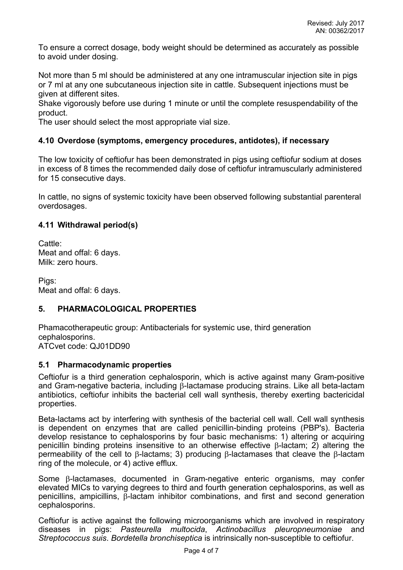To ensure a correct dosage, body weight should be determined as accurately as possible to avoid under dosing.

Not more than 5 ml should be administered at any one intramuscular injection site in pigs or 7 ml at any one subcutaneous injection site in cattle. Subsequent injections must be given at different sites.

Shake vigorously before use during 1 minute or until the complete resuspendability of the product.

The user should select the most appropriate vial size.

#### **4.10 Overdose (symptoms, emergency procedures, antidotes), if necessary**

The low toxicity of ceftiofur has been demonstrated in pigs using ceftiofur sodium at doses in excess of 8 times the recommended daily dose of ceftiofur intramuscularly administered for 15 consecutive days.

In cattle, no signs of systemic toxicity have been observed following substantial parenteral overdosages.

#### **4.11 Withdrawal period(s)**

Cattle: Meat and offal: 6 days. Milk: zero hours.

Pigs: Meat and offal: 6 days.

### **5. PHARMACOLOGICAL PROPERTIES**

Phamacotherapeutic group: Antibacterials for systemic use, third generation cephalosporins. ATCvet code: QJ01DD90

#### **5.1 Pharmacodynamic properties**

Ceftiofur is a third generation cephalosporin, which is active against many Gram-positive and Gram-negative bacteria, including  $\beta$ -lactamase producing strains. Like all beta-lactam antibiotics, ceftiofur inhibits the bacterial cell wall synthesis, thereby exerting bactericidal properties.

Beta-lactams act by interfering with synthesis of the bacterial cell wall. Cell wall synthesis is dependent on enzymes that are called penicillin-binding proteins (PBP's). Bacteria develop resistance to cephalosporins by four basic mechanisms: 1) altering or acquiring penicillin binding proteins insensitive to an otherwise effective  $\beta$ -lactam; 2) altering the permeability of the cell to  $\beta$ -lactams; 3) producing  $\beta$ -lactamases that cleave the  $\beta$ -lactam ring of the molecule, or 4) active efflux.

Some  $\beta$ -lactamases, documented in Gram-negative enteric organisms, may confer elevated MICs to varying degrees to third and fourth generation cephalosporins, as well as penicillins, ampicillins,  $\beta$ -lactam inhibitor combinations, and first and second generation cephalosporins.

Ceftiofur is active against the following microorganisms which are involved in respiratory diseases in pigs: *Pasteurella multocida*, *Actinobacillus pleuropneumoniae* and *Streptococcus suis*. *Bordetella bronchiseptica* is intrinsically non-susceptible to ceftiofur.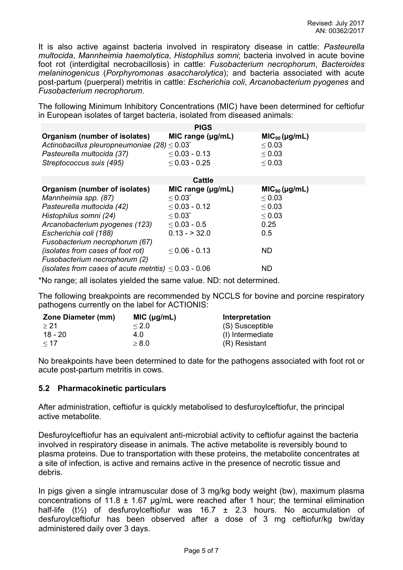It is also active against bacteria involved in respiratory disease in cattle: *Pasteurella multocida*, *Mannheimia haemolytica*, *Histophilus somni*; bacteria involved in acute bovine foot rot (interdigital necrobacillosis) in cattle: *Fusobacterium necrophorum*, *Bacteroides melaninogenicus* (*Porphyromonas asaccharolytica*); and bacteria associated with acute post-partum (puerperal) metritis in cattle: *Escherichia coli*, *Arcanobacterium pyogenes* and *Fusobacterium necrophorum*.

The following Minimum Inhibitory Concentrations (MIC) have been determined for ceftiofur in European isolates of target bacteria, isolated from diseased animals:

|                                                                                                | <b>PIGS</b>            |                                   |  |
|------------------------------------------------------------------------------------------------|------------------------|-----------------------------------|--|
| Organism (number of isolates)<br>Actinobacillus pleuropneumoniae (28) $\leq$ 0.03 <sup>*</sup> | MIC range $(\mu g/mL)$ | $MIC90 (\mu g/mL)$<br>$\leq 0.03$ |  |
| Pasteurella multocida (37)                                                                     | $\leq$ 0.03 - 0.13     | $\leq 0.03$                       |  |
| Streptococcus suis (495)                                                                       | $\leq$ 0.03 - 0.25     | $\leq 0.03$                       |  |
| <b>Cattle</b>                                                                                  |                        |                                   |  |
| Organism (number of isolates)                                                                  | MIC range $(\mu g/mL)$ | $MIC90 (\mu g/mL)$                |  |
| Mannheimia spp. (87)                                                                           | $\leq 0.03^*$          | $\leq 0.03$                       |  |
| Pasteurella multocida (42)                                                                     | $\leq$ 0.03 - 0.12     | $\leq 0.03$                       |  |
| Histophilus somni (24)                                                                         | $\leq 0.03^{*}$        | $\leq 0.03$                       |  |
| Arcanobacterium pyogenes (123)                                                                 | $\leq$ 0.03 - 0.5      | 0.25                              |  |
| Escherichia coli (188)                                                                         | $0.13 - 32.0$          | 0.5                               |  |
| Fusobacterium necrophorum (67)                                                                 |                        |                                   |  |
| <i>(isolates from cases of foot rot)</i>                                                       | $\leq$ 0.06 - 0.13     | ND.                               |  |
| Fusobacterium necrophorum (2)                                                                  |                        |                                   |  |
| (isolates from cases of acute metritis) $\leq 0.03$ - 0.06                                     |                        | ND                                |  |

\*No range; all isolates yielded the same value. ND: not determined.

The following breakpoints are recommended by NCCLS for bovine and porcine respiratory pathogens currently on the label for ACTIONIS:

| <b>Zone Diameter (mm)</b> | MIC (µg/mL) | Interpretation   |
|---------------------------|-------------|------------------|
| > 21                      | $\leq 2.0$  | (S) Susceptible  |
| 18 - 20                   | 4.0         | (I) Intermediate |
| $\leq 17$                 | $\geq 8.0$  | (R) Resistant    |

No breakpoints have been determined to date for the pathogens associated with foot rot or acute post-partum metritis in cows.

### **5.2 Pharmacokinetic particulars**

After administration, ceftiofur is quickly metabolised to desfuroylceftiofur, the principal active metabolite.

Desfuroylceftiofur has an equivalent anti-microbial activity to ceftiofur against the bacteria involved in respiratory disease in animals. The active metabolite is reversibly bound to plasma proteins. Due to transportation with these proteins, the metabolite concentrates at a site of infection, is active and remains active in the presence of necrotic tissue and debris.

In pigs given a single intramuscular dose of 3 mg/kg body weight (bw), maximum plasma concentrations of 11.8  $\pm$  1.67 µg/mL were reached after 1 hour; the terminal elimination half-life (t<sup>1</sup>/<sub>2</sub>) of desfuroylceftiofur was 16.7  $\pm$  2.3 hours. No accumulation of desfuroylceftiofur has been observed after a dose of 3 mg ceftiofur/kg bw/day administered daily over 3 days.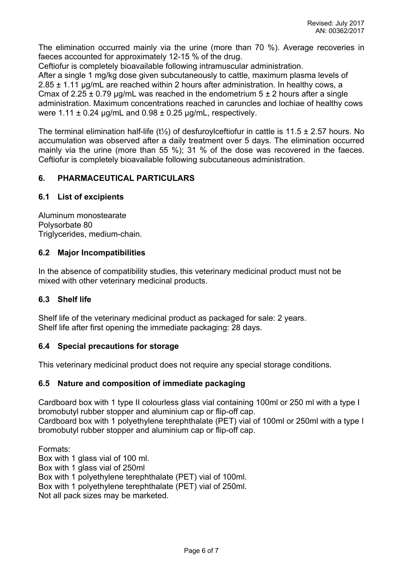The elimination occurred mainly via the urine (more than 70 %). Average recoveries in faeces accounted for approximately 12-15 % of the drug.

Ceftiofur is completely bioavailable following intramuscular administration.

After a single 1 mg/kg dose given subcutaneously to cattle, maximum plasma levels of 2.85 ± 1.11 µg/mL are reached within 2 hours after administration. In healthy cows, a Cmax of 2.25  $\pm$  0.79 µg/mL was reached in the endometrium 5  $\pm$  2 hours after a single administration. Maximum concentrations reached in caruncles and lochiae of healthy cows were  $1.11 \pm 0.24$  µg/mL and  $0.98 \pm 0.25$  µg/mL, respectively.

The terminal elimination half-life (t<sup>1</sup>/<sub>2</sub>) of desfuroylceftiofur in cattle is 11.5  $\pm$  2.57 hours. No accumulation was observed after a daily treatment over 5 days. The elimination occurred mainly via the urine (more than 55 %); 31 % of the dose was recovered in the faeces. Ceftiofur is completely bioavailable following subcutaneous administration.

## **6. PHARMACEUTICAL PARTICULARS**

### **6.1 List of excipients**

Aluminum monostearate Polysorbate 80 Triglycerides, medium-chain.

### **6.2 Major Incompatibilities**

In the absence of compatibility studies, this veterinary medicinal product must not be mixed with other veterinary medicinal products.

### **6.3 Shelf life**

Shelf life of the veterinary medicinal product as packaged for sale: 2 years. Shelf life after first opening the immediate packaging: 28 days.

#### **6.4 Special precautions for storage**

This veterinary medicinal product does not require any special storage conditions.

### **6.5 Nature and composition of immediate packaging**

Cardboard box with 1 type II colourless glass vial containing 100ml or 250 ml with a type I bromobutyl rubber stopper and aluminium cap or flip-off cap.

Cardboard box with 1 polyethylene terephthalate (PET) vial of 100ml or 250ml with a type I bromobutyl rubber stopper and aluminium cap or flip-off cap.

Formats: Box with 1 glass vial of 100 ml. Box with 1 glass vial of 250ml Box with 1 polyethylene terephthalate (PET) vial of 100ml. Box with 1 polyethylene terephthalate (PET) vial of 250ml. Not all pack sizes may be marketed.